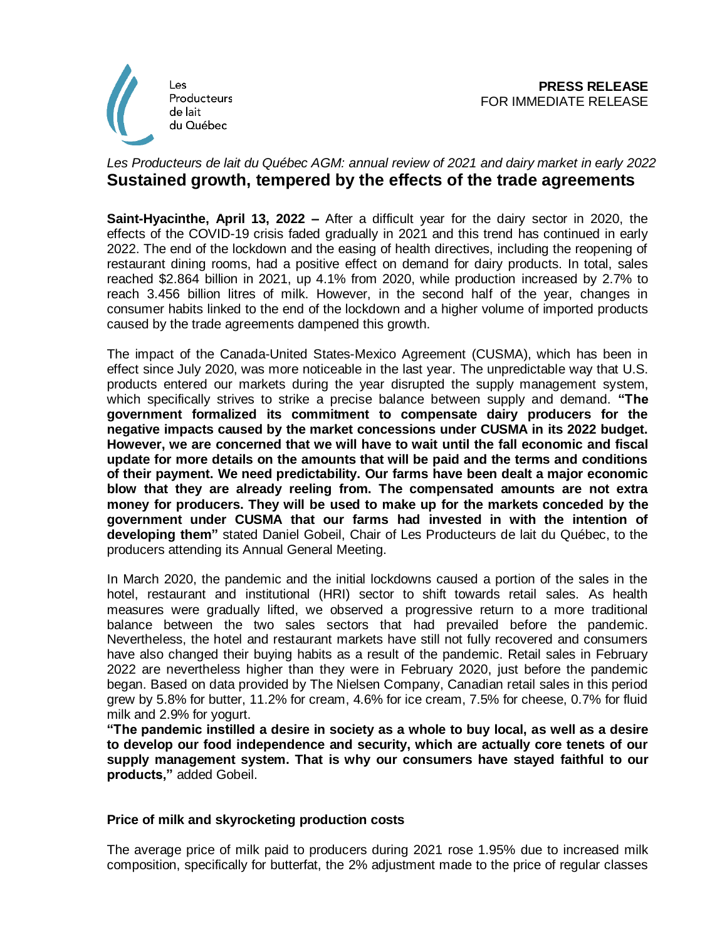

## *Les Producteurs de lait du Québec AGM: annual review of 2021 and dairy market in early 2022* **Sustained growth, tempered by the effects of the trade agreements**

**Saint-Hyacinthe, April 13, 2022 –** After a difficult year for the dairy sector in 2020, the effects of the COVID-19 crisis faded gradually in 2021 and this trend has continued in early 2022. The end of the lockdown and the easing of health directives, including the reopening of restaurant dining rooms, had a positive effect on demand for dairy products. In total, sales reached \$2.864 billion in 2021, up 4.1% from 2020, while production increased by 2.7% to reach 3.456 billion litres of milk. However, in the second half of the year, changes in consumer habits linked to the end of the lockdown and a higher volume of imported products caused by the trade agreements dampened this growth.

The impact of the Canada-United States-Mexico Agreement (CUSMA), which has been in effect since July 2020, was more noticeable in the last year. The unpredictable way that U.S. products entered our markets during the year disrupted the supply management system, which specifically strives to strike a precise balance between supply and demand. **"The government formalized its commitment to compensate dairy producers for the negative impacts caused by the market concessions under CUSMA in its 2022 budget. However, we are concerned that we will have to wait until the fall economic and fiscal update for more details on the amounts that will be paid and the terms and conditions of their payment. We need predictability. Our farms have been dealt a major economic blow that they are already reeling from. The compensated amounts are not extra money for producers. They will be used to make up for the markets conceded by the government under CUSMA that our farms had invested in with the intention of developing them"** stated Daniel Gobeil, Chair of Les Producteurs de lait du Québec, to the producers attending its Annual General Meeting.

In March 2020, the pandemic and the initial lockdowns caused a portion of the sales in the hotel, restaurant and institutional (HRI) sector to shift towards retail sales. As health measures were gradually lifted, we observed a progressive return to a more traditional balance between the two sales sectors that had prevailed before the pandemic. Nevertheless, the hotel and restaurant markets have still not fully recovered and consumers have also changed their buying habits as a result of the pandemic. Retail sales in February 2022 are nevertheless higher than they were in February 2020, just before the pandemic began. Based on data provided by The Nielsen Company, Canadian retail sales in this period grew by 5.8% for butter, 11.2% for cream, 4.6% for ice cream, 7.5% for cheese, 0.7% for fluid milk and 2.9% for yogurt.

**"The pandemic instilled a desire in society as a whole to buy local, as well as a desire to develop our food independence and security, which are actually core tenets of our supply management system. That is why our consumers have stayed faithful to our products,"** added Gobeil.

## **Price of milk and skyrocketing production costs**

The average price of milk paid to producers during 2021 rose 1.95% due to increased milk composition, specifically for butterfat, the 2% adjustment made to the price of regular classes